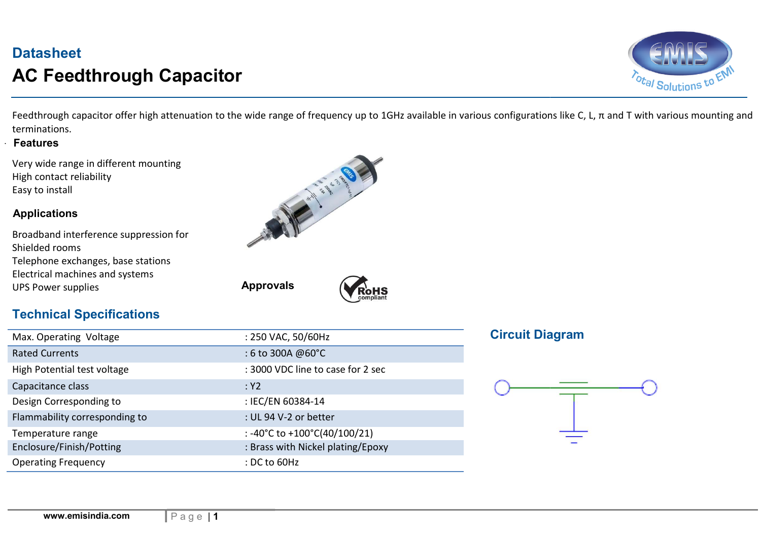# **Datasheet** AC Feedthrough Capacitor



 Feedthrough capacitor offer high attenuation to the wide range of frequency up to 1GHz available in various configurations like C, L, π and T with various mounting and terminations.

#### . Features

Very wide range in different mounting High contact reliability Easy to install

#### Applications

| Broadband interference suppression for |
|----------------------------------------|
| Shielded rooms                         |
| Telephone exchanges, base stations     |
| Electrical machines and systems        |
| <b>UPS Power supplies</b>              |





### Technical Specifications

| Max. Operating Voltage        | : 250 VAC, 50/60Hz                |
|-------------------------------|-----------------------------------|
| <b>Rated Currents</b>         | : 6 to 300A @60°C                 |
| High Potential test voltage   | : 3000 VDC line to case for 2 sec |
| Capacitance class             | :Y2                               |
| Design Corresponding to       | : IEC/EN 60384-14                 |
| Flammability corresponding to | : UL 94 V-2 or better             |
| Temperature range             | : -40°C to +100°C(40/100/21)      |
| Enclosure/Finish/Potting      | : Brass with Nickel plating/Epoxy |
| <b>Operating Frequency</b>    | : DC to 60Hz                      |

Approvals

#### **Circuit Diagram**

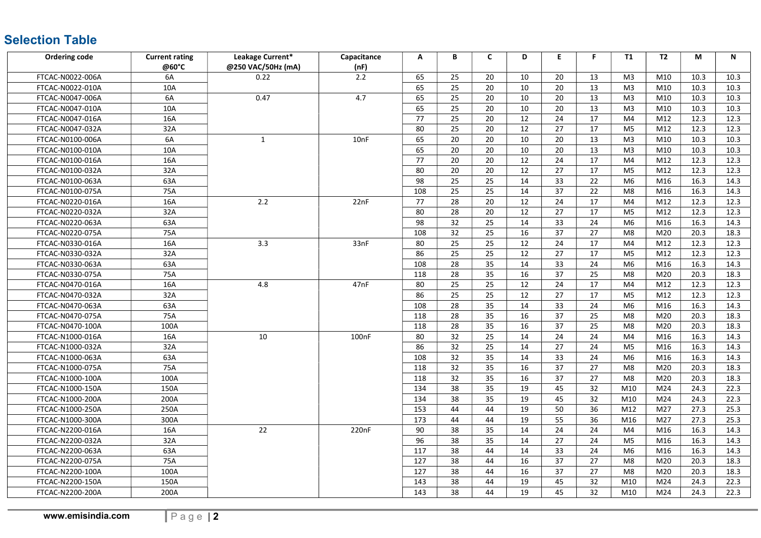## Selection Table

| <b>Ordering code</b> | <b>Current rating</b> | Leakage Current*   | Capacitance        | A   | В  | $\mathsf{C}$    | D  | E. | F. | <b>T1</b>      | <b>T2</b> | М    | N    |
|----------------------|-----------------------|--------------------|--------------------|-----|----|-----------------|----|----|----|----------------|-----------|------|------|
|                      | @60°C                 | @250 VAC/50Hz (mA) | (nF)               |     |    |                 |    |    |    |                |           |      |      |
| FTCAC-N0022-006A     | 6A                    | 0.22               | 2.2                | 65  | 25 | 20              | 10 | 20 | 13 | M <sub>3</sub> | M10       | 10.3 | 10.3 |
| FTCAC-N0022-010A     | 10A                   |                    |                    | 65  | 25 | 20              | 10 | 20 | 13 | M <sub>3</sub> | M10       | 10.3 | 10.3 |
| FTCAC-N0047-006A     | 6A                    | 0.47               | 4.7                | 65  | 25 | 20              | 10 | 20 | 13 | M <sub>3</sub> | M10       | 10.3 | 10.3 |
| FTCAC-N0047-010A     | 10A                   |                    |                    | 65  | 25 | 20              | 10 | 20 | 13 | M <sub>3</sub> | M10       | 10.3 | 10.3 |
| FTCAC-N0047-016A     | 16A                   |                    |                    | 77  | 25 | 20              | 12 | 24 | 17 | M4             | M12       | 12.3 | 12.3 |
| FTCAC-N0047-032A     | 32A                   |                    |                    | 80  | 25 | 20              | 12 | 27 | 17 | M <sub>5</sub> | M12       | 12.3 | 12.3 |
| FTCAC-N0100-006A     | 6A                    | 1                  | 10nF               | 65  | 20 | 20              | 10 | 20 | 13 | M <sub>3</sub> | M10       | 10.3 | 10.3 |
| FTCAC-N0100-010A     | 10A                   |                    |                    | 65  | 20 | 20              | 10 | 20 | 13 | M <sub>3</sub> | M10       | 10.3 | 10.3 |
| FTCAC-N0100-016A     | 16A                   |                    |                    | 77  | 20 | 20              | 12 | 24 | 17 | M4             | M12       | 12.3 | 12.3 |
| FTCAC-N0100-032A     | 32A                   |                    |                    | 80  | 20 | 20              | 12 | 27 | 17 | M <sub>5</sub> | M12       | 12.3 | 12.3 |
| FTCAC-N0100-063A     | 63A                   |                    |                    | 98  | 25 | 25              | 14 | 33 | 22 | M <sub>6</sub> | M16       | 16.3 | 14.3 |
| FTCAC-N0100-075A     | 75A                   |                    |                    | 108 | 25 | 25              | 14 | 37 | 22 | M <sub>8</sub> | M16       | 16.3 | 14.3 |
| FTCAC-N0220-016A     | 16A                   | 2.2                | 22nF               | 77  | 28 | 20              | 12 | 24 | 17 | M4             | M12       | 12.3 | 12.3 |
| FTCAC-N0220-032A     | 32A                   |                    |                    | 80  | 28 | 20              | 12 | 27 | 17 | M <sub>5</sub> | M12       | 12.3 | 12.3 |
| FTCAC-N0220-063A     | 63A                   |                    |                    | 98  | 32 | 25              | 14 | 33 | 24 | M <sub>6</sub> | M16       | 16.3 | 14.3 |
| FTCAC-N0220-075A     | 75A                   |                    |                    | 108 | 32 | 25              | 16 | 37 | 27 | M8             | M20       | 20.3 | 18.3 |
| FTCAC-N0330-016A     | 16A                   | 3.3                | 33nF               | 80  | 25 | 25              | 12 | 24 | 17 | M4             | M12       | 12.3 | 12.3 |
| FTCAC-N0330-032A     | 32A                   |                    |                    | 86  | 25 | 25              | 12 | 27 | 17 | M <sub>5</sub> | M12       | 12.3 | 12.3 |
| FTCAC-N0330-063A     | 63A                   |                    |                    | 108 | 28 | 35              | 14 | 33 | 24 | M <sub>6</sub> | M16       | 16.3 | 14.3 |
| FTCAC-N0330-075A     | 75A                   |                    |                    | 118 | 28 | 35              | 16 | 37 | 25 | M8             | M20       | 20.3 | 18.3 |
| FTCAC-N0470-016A     | 16A                   | 4.8                | 47nF               | 80  | 25 | 25              | 12 | 24 | 17 | M4             | M12       | 12.3 | 12.3 |
| FTCAC-N0470-032A     | 32A                   |                    | 100 <sub>n</sub> F | 86  | 25 | 25              | 12 | 27 | 17 | M <sub>5</sub> | M12       | 12.3 | 12.3 |
| FTCAC-N0470-063A     | 63A                   |                    |                    | 108 | 28 | 35              | 14 | 33 | 24 | M <sub>6</sub> | M16       | 16.3 | 14.3 |
| FTCAC-N0470-075A     | 75A                   |                    |                    | 118 | 28 | 35              | 16 | 37 | 25 | M8             | M20       | 20.3 | 18.3 |
| FTCAC-N0470-100A     | 100A                  |                    |                    | 118 | 28 | $\overline{35}$ | 16 | 37 | 25 | M <sub>8</sub> | M20       | 20.3 | 18.3 |
| FTCAC-N1000-016A     | 16A                   | 10                 |                    | 80  | 32 | 25              | 14 | 24 | 24 | M4             | M16       | 16.3 | 14.3 |
| FTCAC-N1000-032A     | 32A                   |                    |                    | 86  | 32 | 25              | 14 | 27 | 24 | M <sub>5</sub> | M16       | 16.3 | 14.3 |
| FTCAC-N1000-063A     | 63A                   |                    |                    | 108 | 32 | 35              | 14 | 33 | 24 | M <sub>6</sub> | M16       | 16.3 | 14.3 |
| FTCAC-N1000-075A     | 75A                   |                    |                    | 118 | 32 | 35              | 16 | 37 | 27 | M <sub>8</sub> | M20       | 20.3 | 18.3 |
| FTCAC-N1000-100A     | 100A                  |                    |                    | 118 | 32 | 35              | 16 | 37 | 27 | M8             | M20       | 20.3 | 18.3 |
| FTCAC-N1000-150A     | 150A                  |                    |                    | 134 | 38 | 35              | 19 | 45 | 32 | M10            | M24       | 24.3 | 22.3 |
| FTCAC-N1000-200A     | 200A                  |                    |                    | 134 | 38 | 35              | 19 | 45 | 32 | M10            | M24       | 24.3 | 22.3 |
| FTCAC-N1000-250A     | 250A                  |                    |                    | 153 | 44 | 44              | 19 | 50 | 36 | M12            | M27       | 27.3 | 25.3 |
| FTCAC-N1000-300A     | 300A                  |                    |                    | 173 | 44 | 44              | 19 | 55 | 36 | M16            | M27       | 27.3 | 25.3 |
| FTCAC-N2200-016A     | 16A                   | 22                 | 220nF              | 90  | 38 | 35              | 14 | 24 | 24 | M4             | M16       | 16.3 | 14.3 |
| FTCAC-N2200-032A     | 32A                   |                    |                    | 96  | 38 | 35              | 14 | 27 | 24 | M <sub>5</sub> | M16       | 16.3 | 14.3 |
| FTCAC-N2200-063A     | 63A                   |                    |                    | 117 | 38 | 44              | 14 | 33 | 24 | M <sub>6</sub> | M16       | 16.3 | 14.3 |
| FTCAC-N2200-075A     | 75A                   |                    |                    | 127 | 38 | 44              | 16 | 37 | 27 | M8             | M20       | 20.3 | 18.3 |
| FTCAC-N2200-100A     | 100A                  |                    |                    | 127 | 38 | 44              | 16 | 37 | 27 | M8             | M20       | 20.3 | 18.3 |
| FTCAC-N2200-150A     | 150A                  |                    |                    | 143 | 38 | 44              | 19 | 45 | 32 | M10            | M24       | 24.3 | 22.3 |
| FTCAC-N2200-200A     | 200A                  |                    |                    | 143 | 38 | 44              | 19 | 45 | 32 | M10            | M24       | 24.3 | 22.3 |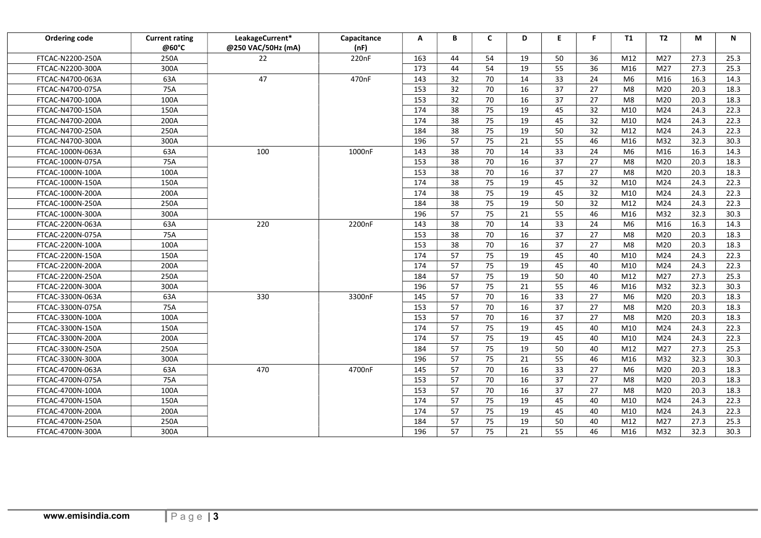| Ordering code    | <b>Current rating</b><br>@60°C | LeakageCurrent*<br>@250 VAC/50Hz (mA) | Capacitance<br>(nF) | A   | В  | C  | D  | E. | F.              | T1             | T2              | М    | N    |
|------------------|--------------------------------|---------------------------------------|---------------------|-----|----|----|----|----|-----------------|----------------|-----------------|------|------|
| FTCAC-N2200-250A | 250A                           | 22                                    | 220nF               | 163 | 44 | 54 | 19 | 50 | 36              | M12            | M27             | 27.3 | 25.3 |
| FTCAC-N2200-300A | 300A                           |                                       |                     | 173 | 44 | 54 | 19 | 55 | 36              | M16            | M27             | 27.3 | 25.3 |
| FTCAC-N4700-063A | 63A                            | 47                                    | 470nF               | 143 | 32 | 70 | 14 | 33 | 24              | M <sub>6</sub> | M16             | 16.3 | 14.3 |
| FTCAC-N4700-075A | 75A                            |                                       |                     | 153 | 32 | 70 | 16 | 37 | 27              | M8             | M20             | 20.3 | 18.3 |
| FTCAC-N4700-100A | 100A                           |                                       |                     | 153 | 32 | 70 | 16 | 37 | 27              | M8             | M20             | 20.3 | 18.3 |
| FTCAC-N4700-150A | 150A                           |                                       |                     | 174 | 38 | 75 | 19 | 45 | 32              | M10            | M24             | 24.3 | 22.3 |
| FTCAC-N4700-200A | 200A                           |                                       |                     | 174 | 38 | 75 | 19 | 45 | 32              | M10            | M24             | 24.3 | 22.3 |
| FTCAC-N4700-250A | 250A                           |                                       |                     | 184 | 38 | 75 | 19 | 50 | $\overline{32}$ | M12            | M24             | 24.3 | 22.3 |
| FTCAC-N4700-300A | 300A                           |                                       |                     | 196 | 57 | 75 | 21 | 55 | 46              | M16            | M32             | 32.3 | 30.3 |
| FTCAC-1000N-063A | 63A                            | 100                                   | 1000nF              | 143 | 38 | 70 | 14 | 33 | 24              | M <sub>6</sub> | M16             | 16.3 | 14.3 |
| FTCAC-1000N-075A | 75A                            |                                       |                     | 153 | 38 | 70 | 16 | 37 | 27              | M8             | M20             | 20.3 | 18.3 |
| FTCAC-1000N-100A | 100A                           |                                       |                     | 153 | 38 | 70 | 16 | 37 | 27              | M8             | M20             | 20.3 | 18.3 |
| FTCAC-1000N-150A | 150A                           |                                       |                     | 174 | 38 | 75 | 19 | 45 | 32              | M10            | M24             | 24.3 | 22.3 |
| FTCAC-1000N-200A | 200A                           |                                       |                     | 174 | 38 | 75 | 19 | 45 | 32              | M10            | M24             | 24.3 | 22.3 |
| FTCAC-1000N-250A | 250A                           |                                       |                     | 184 | 38 | 75 | 19 | 50 | 32              | M12            | M24             | 24.3 | 22.3 |
| FTCAC-1000N-300A | 300A                           |                                       |                     | 196 | 57 | 75 | 21 | 55 | 46              | M16            | M32             | 32.3 | 30.3 |
| FTCAC-2200N-063A | 63A                            | 220                                   | 2200nF              | 143 | 38 | 70 | 14 | 33 | 24              | M <sub>6</sub> | M16             | 16.3 | 14.3 |
| FTCAC-2200N-075A | 75A                            |                                       |                     | 153 | 38 | 70 | 16 | 37 | 27              | M8             | M20             | 20.3 | 18.3 |
| FTCAC-2200N-100A | 100A                           |                                       |                     | 153 | 38 | 70 | 16 | 37 | 27              | M8             | M20             | 20.3 | 18.3 |
| FTCAC-2200N-150A | 150A                           |                                       |                     | 174 | 57 | 75 | 19 | 45 | 40              | M10            | M24             | 24.3 | 22.3 |
| FTCAC-2200N-200A | 200A                           |                                       |                     | 174 | 57 | 75 | 19 | 45 | 40              | M10            | M24             | 24.3 | 22.3 |
| FTCAC-2200N-250A | 250A                           |                                       |                     | 184 | 57 | 75 | 19 | 50 | 40              | M12            | M27             | 27.3 | 25.3 |
| FTCAC-2200N-300A | 300A                           |                                       |                     | 196 | 57 | 75 | 21 | 55 | 46              | M16            | M32             | 32.3 | 30.3 |
| FTCAC-3300N-063A | 63A                            | 330                                   | 3300nF              | 145 | 57 | 70 | 16 | 33 | 27              | M <sub>6</sub> | M20             | 20.3 | 18.3 |
| FTCAC-3300N-075A | 75A                            |                                       |                     | 153 | 57 | 70 | 16 | 37 | 27              | M8             | M20             | 20.3 | 18.3 |
| FTCAC-3300N-100A | 100A                           |                                       |                     | 153 | 57 | 70 | 16 | 37 | 27              | M8             | M20             | 20.3 | 18.3 |
| FTCAC-3300N-150A | 150A                           |                                       |                     | 174 | 57 | 75 | 19 | 45 | 40              | M10            | M24             | 24.3 | 22.3 |
| FTCAC-3300N-200A | 200A                           |                                       |                     | 174 | 57 | 75 | 19 | 45 | 40              | M10            | M24             | 24.3 | 22.3 |
| FTCAC-3300N-250A | 250A                           |                                       |                     | 184 | 57 | 75 | 19 | 50 | 40              | M12            | M27             | 27.3 | 25.3 |
| FTCAC-3300N-300A | 300A                           |                                       |                     | 196 | 57 | 75 | 21 | 55 | 46              | M16            | M32             | 32.3 | 30.3 |
| FTCAC-4700N-063A | 63A                            | 470                                   | 4700nF              | 145 | 57 | 70 | 16 | 33 | 27              | M <sub>6</sub> | M20             | 20.3 | 18.3 |
| FTCAC-4700N-075A | 75A                            |                                       |                     | 153 | 57 | 70 | 16 | 37 | 27              | M8             | M20             | 20.3 | 18.3 |
| FTCAC-4700N-100A | 100A                           |                                       |                     | 153 | 57 | 70 | 16 | 37 | 27              | M8             | M20             | 20.3 | 18.3 |
| FTCAC-4700N-150A | 150A                           |                                       |                     | 174 | 57 | 75 | 19 | 45 | 40              | M10            | M24             | 24.3 | 22.3 |
| FTCAC-4700N-200A | 200A                           |                                       |                     | 174 | 57 | 75 | 19 | 45 | 40              | M10            | M <sub>24</sub> | 24.3 | 22.3 |
| FTCAC-4700N-250A | 250A                           |                                       |                     | 184 | 57 | 75 | 19 | 50 | 40              | M12            | M27             | 27.3 | 25.3 |
| FTCAC-4700N-300A | 300A                           |                                       |                     | 196 | 57 | 75 | 21 | 55 | 46              | M16            | M32             | 32.3 | 30.3 |